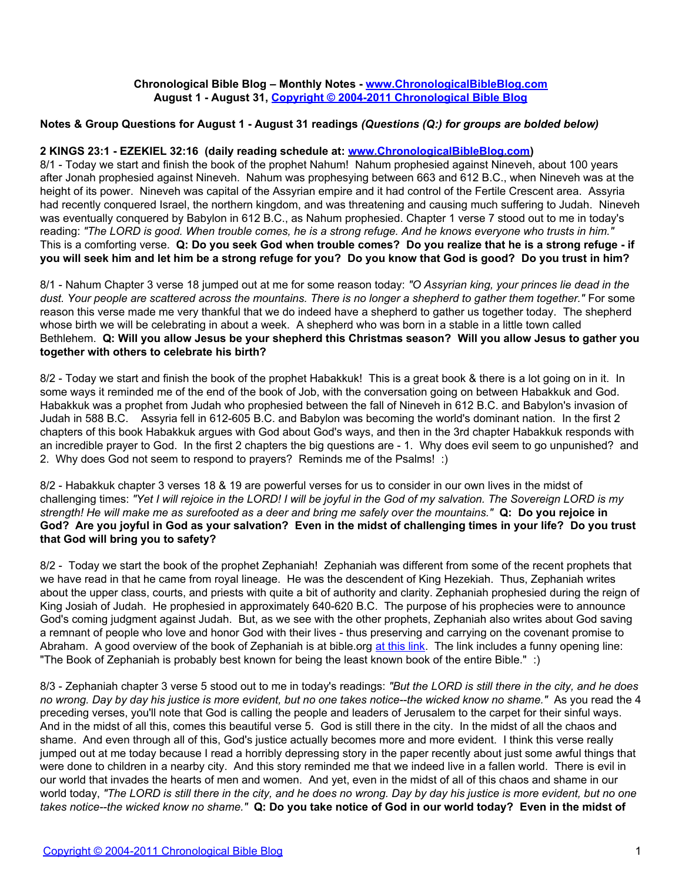## **Chronological Bible Blog – Monthly Notes - [www.ChronologicalBibleBlog.com](http://www.chronologicalbibleblog.com/) August 1 - August 31, [Copyright © 2004-2011 Chronological Bible Blog](http://www.chronologicalbibleblog.com/)**

# **Notes & Group Questions for August 1 - August 31 readings** *(Questions (Q:) for groups are bolded below)*

#### **2 KINGS 23:1 - EZEKIEL 32:16 (daily reading schedule at: [www.ChronologicalBibleBlog.com](http://www.chronologicalbibleblog.com/))**

8/1 - Today we start and finish the book of the prophet Nahum! Nahum prophesied against Nineveh, about 100 years after Jonah prophesied against Nineveh. Nahum was prophesying between 663 and 612 B.C., when Nineveh was at the height of its power. Nineveh was capital of the Assyrian empire and it had control of the Fertile Crescent area. Assyria had recently conquered Israel, the northern kingdom, and was threatening and causing much suffering to Judah. Nineveh was eventually conquered by Babylon in 612 B.C., as Nahum prophesied. Chapter 1 verse 7 stood out to me in today's reading: *"The LORD is good. When trouble comes, he is a strong refuge. And he knows everyone who trusts in him."* This is a comforting verse. **Q: Do you seek God when trouble comes? Do you realize that he is a strong refuge - if you will seek him and let him be a strong refuge for you? Do you know that God is good? Do you trust in him?**

8/1 - Nahum Chapter 3 verse 18 jumped out at me for some reason today: *"O Assyrian king, your princes lie dead in the dust. Your people are scattered across the mountains. There is no longer a shepherd to gather them together."* For some reason this verse made me very thankful that we do indeed have a shepherd to gather us together today. The shepherd whose birth we will be celebrating in about a week. A shepherd who was born in a stable in a little town called Bethlehem. **Q: Will you allow Jesus be your shepherd this Christmas season? Will you allow Jesus to gather you together with others to celebrate his birth?**

8/2 - Today we start and finish the book of the prophet Habakkuk! This is a great book & there is a lot going on in it. In some ways it reminded me of the end of the book of Job, with the conversation going on between Habakkuk and God. Habakkuk was a prophet from Judah who prophesied between the fall of Nineveh in 612 B.C. and Babylon's invasion of Judah in 588 B.C. Assyria fell in 612-605 B.C. and Babylon was becoming the world's dominant nation. In the first 2 chapters of this book Habakkuk argues with God about God's ways, and then in the 3rd chapter Habakkuk responds with an incredible prayer to God. In the first 2 chapters the big questions are - 1. Why does evil seem to go unpunished? and 2. Why does God not seem to respond to prayers? Reminds me of the Psalms! :)

8/2 - Habakkuk chapter 3 verses 18 & 19 are powerful verses for us to consider in our own lives in the midst of challenging times: *"Yet I will rejoice in the LORD! I will be joyful in the God of my salvation. The Sovereign LORD is my strength! He will make me as surefooted as a deer and bring me safely over the mountains."* **Q: Do you rejoice in God? Are you joyful in God as your salvation? Even in the midst of challenging times in your life? Do you trust that God will bring you to safety?**

8/2 - Today we start the book of the prophet Zephaniah! Zephaniah was different from some of the recent prophets that we have read in that he came from royal lineage. He was the descendent of King Hezekiah. Thus, Zephaniah writes about the upper class, courts, and priests with quite a bit of authority and clarity. Zephaniah prophesied during the reign of King Josiah of Judah. He prophesied in approximately 640-620 B.C. The purpose of his prophecies were to announce God's coming judgment against Judah. But, as we see with the other prophets, Zephaniah also writes about God saving a remnant of people who love and honor God with their lives - thus preserving and carrying on the covenant promise to Abraham. A good overview of the book of Zephaniah is at bible.org [at this link.](http://bible.org/page.php?page_id=1790) The link includes a funny opening line: "The Book of Zephaniah is probably best known for being the least known book of the entire Bible." :)

8/3 - Zephaniah chapter 3 verse 5 stood out to me in today's readings: *"But the LORD is still there in the city, and he does no wrong. Day by day his justice is more evident, but no one takes notice--the wicked know no shame."* As you read the 4 preceding verses, you'll note that God is calling the people and leaders of Jerusalem to the carpet for their sinful ways. And in the midst of all this, comes this beautiful verse 5. God is still there in the city. In the midst of all the chaos and shame. And even through all of this, God's justice actually becomes more and more evident. I think this verse really jumped out at me today because I read a horribly depressing story in the paper recently about just some awful things that were done to children in a nearby city. And this story reminded me that we indeed live in a fallen world. There is evil in our world that invades the hearts of men and women. And yet, even in the midst of all of this chaos and shame in our world today, *"The LORD is still there in the city, and he does no wrong. Day by day his justice is more evident, but no one takes notice--the wicked know no shame."* **Q: Do you take notice of God in our world today? Even in the midst of**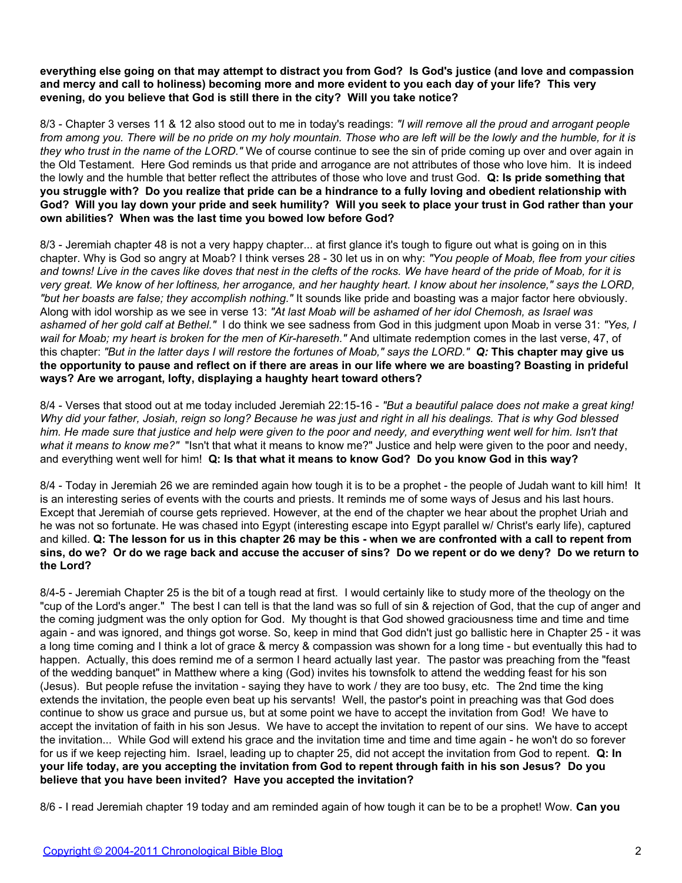**everything else going on that may attempt to distract you from God? Is God's justice (and love and compassion and mercy and call to holiness) becoming more and more evident to you each day of your life? This very evening, do you believe that God is still there in the city? Will you take notice?**

8/3 - Chapter 3 verses 11 & 12 also stood out to me in today's readings: *"I will remove all the proud and arrogant people from among you. There will be no pride on my holy mountain. Those who are left will be the lowly and the humble, for it is they who trust in the name of the LORD."* We of course continue to see the sin of pride coming up over and over again in the Old Testament. Here God reminds us that pride and arrogance are not attributes of those who love him. It is indeed the lowly and the humble that better reflect the attributes of those who love and trust God. **Q: Is pride something that you struggle with? Do you realize that pride can be a hindrance to a fully loving and obedient relationship with God? Will you lay down your pride and seek humility? Will you seek to place your trust in God rather than your own abilities? When was the last time you bowed low before God?**

8/3 - Jeremiah chapter 48 is not a very happy chapter... at first glance it's tough to figure out what is going on in this chapter. Why is God so angry at Moab? I think verses 28 - 30 let us in on why: *"You people of Moab, flee from your cities and towns! Live in the caves like doves that nest in the clefts of the rocks. We have heard of the pride of Moab, for it is very great. We know of her loftiness, her arrogance, and her haughty heart. I know about her insolence," says the LORD, "but her boasts are false; they accomplish nothing."* It sounds like pride and boasting was a major factor here obviously. Along with idol worship as we see in verse 13: *"At last Moab will be ashamed of her idol Chemosh, as Israel was ashamed of her gold calf at Bethel."* I do think we see sadness from God in this judgment upon Moab in verse 31: *"Yes, I wail for Moab; my heart is broken for the men of Kir-hareseth."* And ultimate redemption comes in the last verse, 47, of this chapter: *"But in the latter days I will restore the fortunes of Moab," says the LORD." Q:* **This chapter may give us the opportunity to pause and reflect on if there are areas in our life where we are boasting? Boasting in prideful ways? Are we arrogant, lofty, displaying a haughty heart toward others?**

8/4 - Verses that stood out at me today included Jeremiah 22:15-16 - *"But a beautiful palace does not make a great king! Why did your father, Josiah, reign so long? Because he was just and right in all his dealings. That is why God blessed him. He made sure that justice and help were given to the poor and needy, and everything went well for him. Isn't that what it means to know me?"* "Isn't that what it means to know me?" Justice and help were given to the poor and needy, and everything went well for him! **Q: Is that what it means to know God? Do you know God in this way?**

8/4 - Today in Jeremiah 26 we are reminded again how tough it is to be a prophet - the people of Judah want to kill him! It is an interesting series of events with the courts and priests. It reminds me of some ways of Jesus and his last hours. Except that Jeremiah of course gets reprieved. However, at the end of the chapter we hear about the prophet Uriah and he was not so fortunate. He was chased into Egypt (interesting escape into Egypt parallel w/ Christ's early life), captured and killed. **Q: The lesson for us in this chapter 26 may be this - when we are confronted with a call to repent from sins, do we? Or do we rage back and accuse the accuser of sins? Do we repent or do we deny? Do we return to the Lord?**

8/4-5 - Jeremiah Chapter 25 is the bit of a tough read at first. I would certainly like to study more of the theology on the "cup of the Lord's anger." The best I can tell is that the land was so full of sin & rejection of God, that the cup of anger and the coming judgment was the only option for God. My thought is that God showed graciousness time and time and time again - and was ignored, and things got worse. So, keep in mind that God didn't just go ballistic here in Chapter 25 - it was a long time coming and I think a lot of grace & mercy & compassion was shown for a long time - but eventually this had to happen. Actually, this does remind me of a sermon I heard actually last year. The pastor was preaching from the "feast of the wedding banquet" in Matthew where a king (God) invites his townsfolk to attend the wedding feast for his son (Jesus). But people refuse the invitation - saying they have to work / they are too busy, etc. The 2nd time the king extends the invitation, the people even beat up his servants! Well, the pastor's point in preaching was that God does continue to show us grace and pursue us, but at some point we have to accept the invitation from God! We have to accept the invitation of faith in his son Jesus. We have to accept the invitation to repent of our sins. We have to accept the invitation... While God will extend his grace and the invitation time and time and time again - he won't do so forever for us if we keep rejecting him. Israel, leading up to chapter 25, did not accept the invitation from God to repent. **Q: In your life today, are you accepting the invitation from God to repent through faith in his son Jesus? Do you believe that you have been invited? Have you accepted the invitation?**

8/6 - I read Jeremiah chapter 19 today and am reminded again of how tough it can be to be a prophet! Wow. **Can you**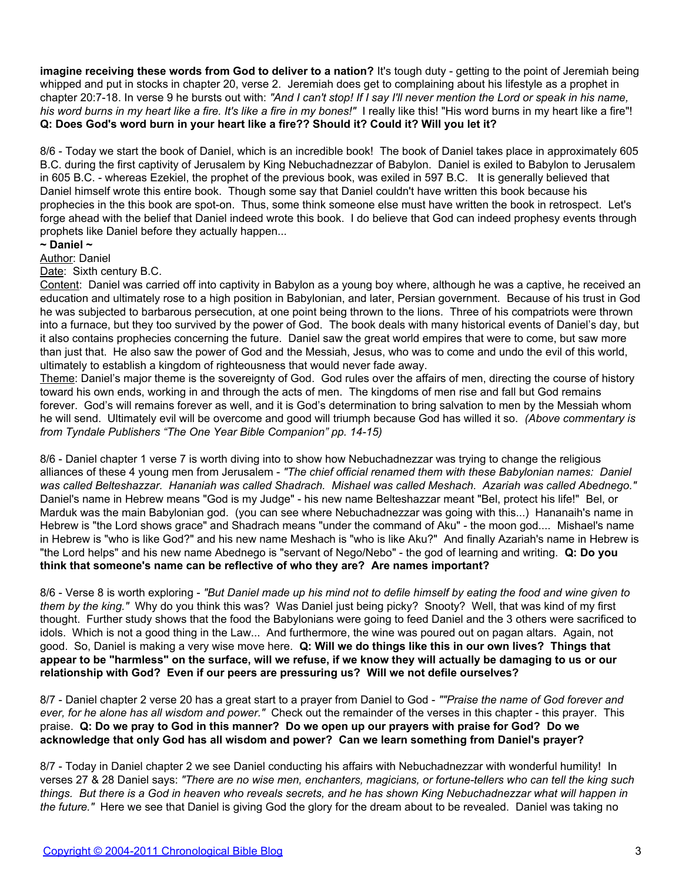**imagine receiving these words from God to deliver to a nation?** It's tough duty - getting to the point of Jeremiah being whipped and put in stocks in chapter 20, verse 2. Jeremiah does get to complaining about his lifestyle as a prophet in chapter 20:7-18. In verse 9 he bursts out with: *"And I can't stop! If I say I'll never mention the Lord or speak in his name, his word burns in my heart like a fire. It's like a fire in my bones!"* I really like this! "His word burns in my heart like a fire"! **Q: Does God's word burn in your heart like a fire?? Should it? Could it? Will you let it?**

8/6 - Today we start the book of Daniel, which is an incredible book! The book of Daniel takes place in approximately 605 B.C. during the first captivity of Jerusalem by King Nebuchadnezzar of Babylon. Daniel is exiled to Babylon to Jerusalem in 605 B.C. - whereas Ezekiel, the prophet of the previous book, was exiled in 597 B.C. It is generally believed that Daniel himself wrote this entire book. Though some say that Daniel couldn't have written this book because his prophecies in the this book are spot-on. Thus, some think someone else must have written the book in retrospect. Let's forge ahead with the belief that Daniel indeed wrote this book. I do believe that God can indeed prophesy events through prophets like Daniel before they actually happen...

# **~ Daniel ~**

Author: Daniel

Date: Sixth century B.C.

Content: Daniel was carried off into captivity in Babylon as a young boy where, although he was a captive, he received an education and ultimately rose to a high position in Babylonian, and later, Persian government. Because of his trust in God he was subjected to barbarous persecution, at one point being thrown to the lions. Three of his compatriots were thrown into a furnace, but they too survived by the power of God. The book deals with many historical events of Daniel's day, but it also contains prophecies concerning the future. Daniel saw the great world empires that were to come, but saw more than just that. He also saw the power of God and the Messiah, Jesus, who was to come and undo the evil of this world, ultimately to establish a kingdom of righteousness that would never fade away.

Theme: Daniel's major theme is the sovereignty of God. God rules over the affairs of men, directing the course of history toward his own ends, working in and through the acts of men. The kingdoms of men rise and fall but God remains forever. God's will remains forever as well, and it is God's determination to bring salvation to men by the Messiah whom he will send. Ultimately evil will be overcome and good will triumph because God has willed it so. *(Above commentary is from Tyndale Publishers "The One Year Bible Companion" pp. 14-15)*

8/6 - Daniel chapter 1 verse 7 is worth diving into to show how Nebuchadnezzar was trying to change the religious alliances of these 4 young men from Jerusalem - *"The chief official renamed them with these Babylonian names: Daniel was called Belteshazzar. Hananiah was called Shadrach. Mishael was called Meshach. Azariah was called Abednego."* Daniel's name in Hebrew means "God is my Judge" - his new name Belteshazzar meant "Bel, protect his life!" Bel, or Marduk was the main Babylonian god. (you can see where Nebuchadnezzar was going with this...) Hananaih's name in Hebrew is "the Lord shows grace" and Shadrach means "under the command of Aku" - the moon god.... Mishael's name in Hebrew is "who is like God?" and his new name Meshach is "who is like Aku?" And finally Azariah's name in Hebrew is "the Lord helps" and his new name Abednego is "servant of Nego/Nebo" - the god of learning and writing. **Q: Do you think that someone's name can be reflective of who they are? Are names important?**

8/6 - Verse 8 is worth exploring - *"But Daniel made up his mind not to defile himself by eating the food and wine given to them by the king."* Why do you think this was? Was Daniel just being picky? Snooty? Well, that was kind of my first thought. Further study shows that the food the Babylonians were going to feed Daniel and the 3 others were sacrificed to idols. Which is not a good thing in the Law... And furthermore, the wine was poured out on pagan altars. Again, not good. So, Daniel is making a very wise move here. **Q: Will we do things like this in our own lives? Things that appear to be "harmless" on the surface, will we refuse, if we know they will actually be damaging to us or our relationship with God? Even if our peers are pressuring us? Will we not defile ourselves?**

8/7 - Daniel chapter 2 verse 20 has a great start to a prayer from Daniel to God - *""Praise the name of God forever and ever, for he alone has all wisdom and power."* Check out the remainder of the verses in this chapter - this prayer. This praise. **Q: Do we pray to God in this manner? Do we open up our prayers with praise for God? Do we acknowledge that only God has all wisdom and power? Can we learn something from Daniel's prayer?**

8/7 - Today in Daniel chapter 2 we see Daniel conducting his affairs with Nebuchadnezzar with wonderful humility! In verses 27 & 28 Daniel says: *"There are no wise men, enchanters, magicians, or fortune-tellers who can tell the king such things. But there is a God in heaven who reveals secrets, and he has shown King Nebuchadnezzar what will happen in the future."* Here we see that Daniel is giving God the glory for the dream about to be revealed. Daniel was taking no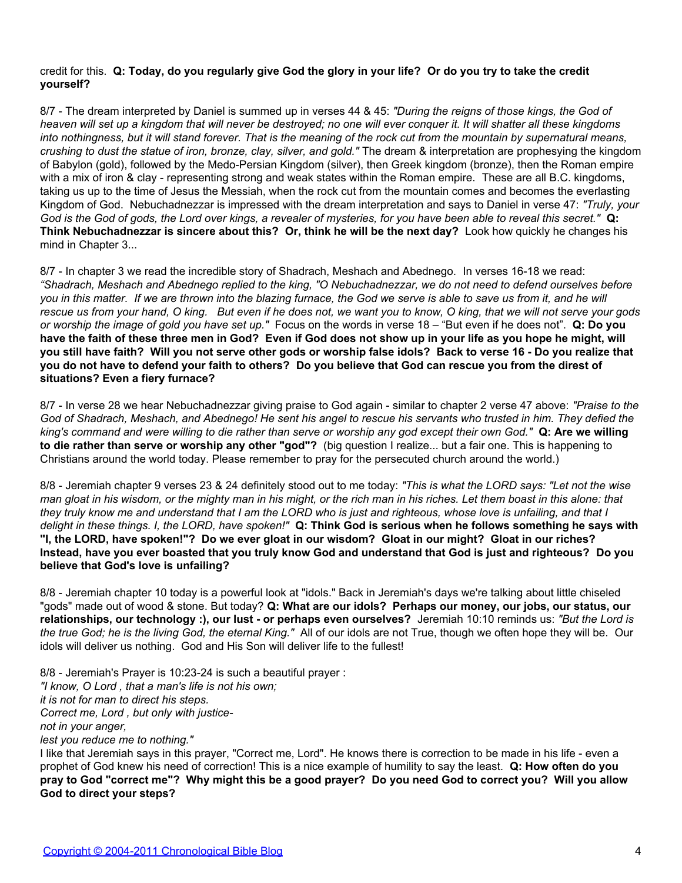## credit for this. **Q: Today, do you regularly give God the glory in your life? Or do you try to take the credit yourself?**

8/7 - The dream interpreted by Daniel is summed up in verses 44 & 45: *"During the reigns of those kings, the God of heaven will set up a kingdom that will never be destroyed; no one will ever conquer it. It will shatter all these kingdoms into nothingness, but it will stand forever. That is the meaning of the rock cut from the mountain by supernatural means, crushing to dust the statue of iron, bronze, clay, silver, and gold."* The dream & interpretation are prophesying the kingdom of Babylon (gold), followed by the Medo-Persian Kingdom (silver), then Greek kingdom (bronze), then the Roman empire with a mix of iron & clay - representing strong and weak states within the Roman empire. These are all B.C. kingdoms, taking us up to the time of Jesus the Messiah, when the rock cut from the mountain comes and becomes the everlasting Kingdom of God. Nebuchadnezzar is impressed with the dream interpretation and says to Daniel in verse 47: *"Truly, your God is the God of gods, the Lord over kings, a revealer of mysteries, for you have been able to reveal this secret."* **Q: Think Nebuchadnezzar is sincere about this? Or, think he will be the next day?** Look how quickly he changes his mind in Chapter 3...

8/7 - In chapter 3 we read the incredible story of Shadrach, Meshach and Abednego. In verses 16-18 we read: *"Shadrach, Meshach and Abednego replied to the king, "O Nebuchadnezzar, we do not need to defend ourselves before you in this matter. If we are thrown into the blazing furnace, the God we serve is able to save us from it, and he will rescue us from your hand, O king. But even if he does not, we want you to know, O king, that we will not serve your gods or worship the image of gold you have set up."* Focus on the words in verse 18 – "But even if he does not". **Q: Do you have the faith of these three men in God? Even if God does not show up in your life as you hope he might, will you still have faith? Will you not serve other gods or worship false idols? Back to verse 16 - Do you realize that you do not have to defend your faith to others? Do you believe that God can rescue you from the direst of situations? Even a fiery furnace?**

8/7 - In verse 28 we hear Nebuchadnezzar giving praise to God again - similar to chapter 2 verse 47 above: *"Praise to the God of Shadrach, Meshach, and Abednego! He sent his angel to rescue his servants who trusted in him. They defied the king's command and were willing to die rather than serve or worship any god except their own God."* **Q: Are we willing to die rather than serve or worship any other "god"?** (big question I realize... but a fair one. This is happening to Christians around the world today. Please remember to pray for the persecuted church around the world.)

8/8 - Jeremiah chapter 9 verses 23 & 24 definitely stood out to me today: *"This is what the LORD says: "Let not the wise man gloat in his wisdom, or the mighty man in his might, or the rich man in his riches. Let them boast in this alone: that they truly know me and understand that I am the LORD who is just and righteous, whose love is unfailing, and that I delight in these things. I, the LORD, have spoken!"* **Q: Think God is serious when he follows something he says with "I, the LORD, have spoken!"? Do we ever gloat in our wisdom? Gloat in our might? Gloat in our riches? Instead, have you ever boasted that you truly know God and understand that God is just and righteous? Do you believe that God's love is unfailing?**

8/8 - Jeremiah chapter 10 today is a powerful look at "idols." Back in Jeremiah's days we're talking about little chiseled "gods" made out of wood & stone. But today? **Q: What are our idols? Perhaps our money, our jobs, our status, our relationships, our technology :), our lust - or perhaps even ourselves?** Jeremiah 10:10 reminds us: *"But the Lord is the true God; he is the living God, the eternal King."* All of our idols are not True, though we often hope they will be. Our idols will deliver us nothing. God and His Son will deliver life to the fullest!

8/8 - Jeremiah's Prayer is 10:23-24 is such a beautiful prayer : *"I know, O Lord , that a man's life is not his own; it is not for man to direct his steps. Correct me, Lord , but only with justicenot in your anger, lest you reduce me to nothing."*

I like that Jeremiah says in this prayer, "Correct me, Lord". He knows there is correction to be made in his life - even a prophet of God knew his need of correction! This is a nice example of humility to say the least. **Q: How often do you pray to God "correct me"? Why might this be a good prayer? Do you need God to correct you? Will you allow God to direct your steps?**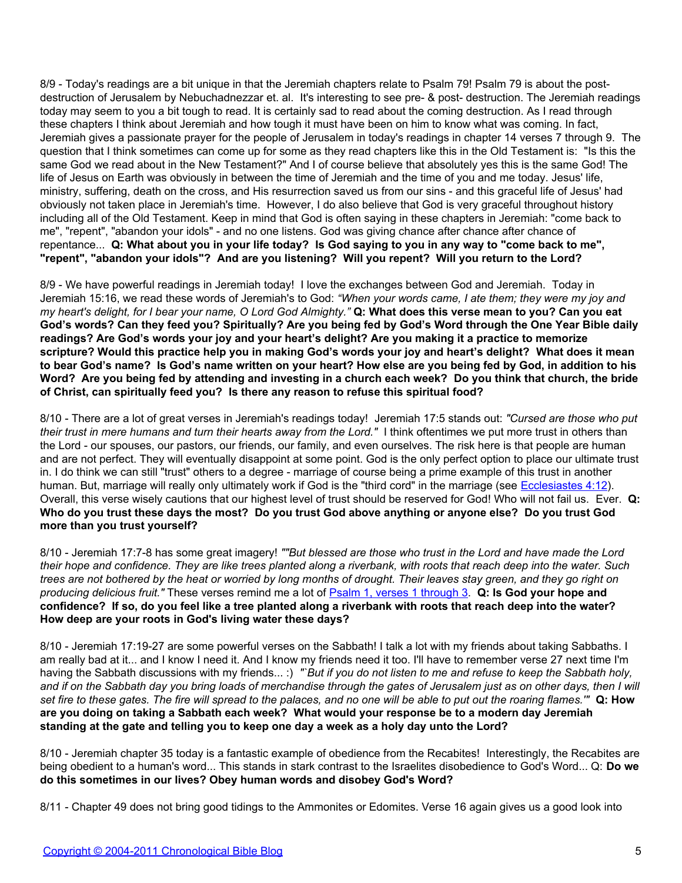8/9 - Today's readings are a bit unique in that the Jeremiah chapters relate to Psalm 79! Psalm 79 is about the postdestruction of Jerusalem by Nebuchadnezzar et. al. It's interesting to see pre- & post- destruction. The Jeremiah readings today may seem to you a bit tough to read. It is certainly sad to read about the coming destruction. As I read through these chapters I think about Jeremiah and how tough it must have been on him to know what was coming. In fact, Jeremiah gives a passionate prayer for the people of Jerusalem in today's readings in chapter 14 verses 7 through 9. The question that I think sometimes can come up for some as they read chapters like this in the Old Testament is: "Is this the same God we read about in the New Testament?" And I of course believe that absolutely yes this is the same God! The life of Jesus on Earth was obviously in between the time of Jeremiah and the time of you and me today. Jesus' life, ministry, suffering, death on the cross, and His resurrection saved us from our sins - and this graceful life of Jesus' had obviously not taken place in Jeremiah's time. However, I do also believe that God is very graceful throughout history including all of the Old Testament. Keep in mind that God is often saying in these chapters in Jeremiah: "come back to me", "repent", "abandon your idols" - and no one listens. God was giving chance after chance after chance of repentance... **Q: What about you in your life today? Is God saying to you in any way to "come back to me", "repent", "abandon your idols"? And are you listening? Will you repent? Will you return to the Lord?**

8/9 - We have powerful readings in Jeremiah today! I love the exchanges between God and Jeremiah. Today in Jeremiah 15:16, we read these words of Jeremiah's to God: *"When your words came, I ate them; they were my joy and my heart's delight, for I bear your name, O Lord God Almighty."* **Q: What does this verse mean to you? Can you eat God's words? Can they feed you? Spiritually? Are you being fed by God's Word through the One Year Bible daily readings? Are God's words your joy and your heart's delight? Are you making it a practice to memorize scripture? Would this practice help you in making God's words your joy and heart's delight? What does it mean to bear God's name? Is God's name written on your heart? How else are you being fed by God, in addition to his Word? Are you being fed by attending and investing in a church each week? Do you think that church, the bride of Christ, can spiritually feed you? Is there any reason to refuse this spiritual food?**

8/10 - There are a lot of great verses in Jeremiah's readings today! Jeremiah 17:5 stands out: *"Cursed are those who put their trust in mere humans and turn their hearts away from the Lord."* I think oftentimes we put more trust in others than the Lord - our spouses, our pastors, our friends, our family, and even ourselves. The risk here is that people are human and are not perfect. They will eventually disappoint at some point. God is the only perfect option to place our ultimate trust in. I do think we can still "trust" others to a degree - marriage of course being a prime example of this trust in another human. But, marriage will really only ultimately work if God is the "third cord" in the marriage (see [Ecclesiastes 4:12\)](http://www.biblegateway.com/passage/?search=Ecclesiastes%204:12). Overall, this verse wisely cautions that our highest level of trust should be reserved for God! Who will not fail us. Ever. **Q: Who do you trust these days the most? Do you trust God above anything or anyone else? Do you trust God more than you trust yourself?**

8/10 - Jeremiah 17:7-8 has some great imagery! *""But blessed are those who trust in the Lord and have made the Lord their hope and confidence. They are like trees planted along a riverbank, with roots that reach deep into the water. Such trees are not bothered by the heat or worried by long months of drought. Their leaves stay green, and they go right on producing delicious fruit."* These verses remind me a lot of [Psalm 1, verses 1 through 3](http://www.biblegateway.com/passage/?search=psalm%201). **Q: Is God your hope and confidence? If so, do you feel like a tree planted along a riverbank with roots that reach deep into the water? How deep are your roots in God's living water these days?**

8/10 - Jeremiah 17:19-27 are some powerful verses on the Sabbath! I talk a lot with my friends about taking Sabbaths. I am really bad at it... and I know I need it. And I know my friends need it too. I'll have to remember verse 27 next time I'm having the Sabbath discussions with my friends... :) "`But if you do not listen to me and refuse to keep the Sabbath holy, and if on the Sabbath day you bring loads of merchandise through the gates of Jerusalem just as on other days, then I will *set fire to these gates. The fire will spread to the palaces, and no one will be able to put out the roaring flames.'"* **Q: How are you doing on taking a Sabbath each week? What would your response be to a modern day Jeremiah standing at the gate and telling you to keep one day a week as a holy day unto the Lord?**

8/10 - Jeremiah chapter 35 today is a fantastic example of obedience from the Recabites! Interestingly, the Recabites are being obedient to a human's word... This stands in stark contrast to the Israelites disobedience to God's Word... Q: **Do we do this sometimes in our lives? Obey human words and disobey God's Word?**

8/11 - Chapter 49 does not bring good tidings to the Ammonites or Edomites. Verse 16 again gives us a good look into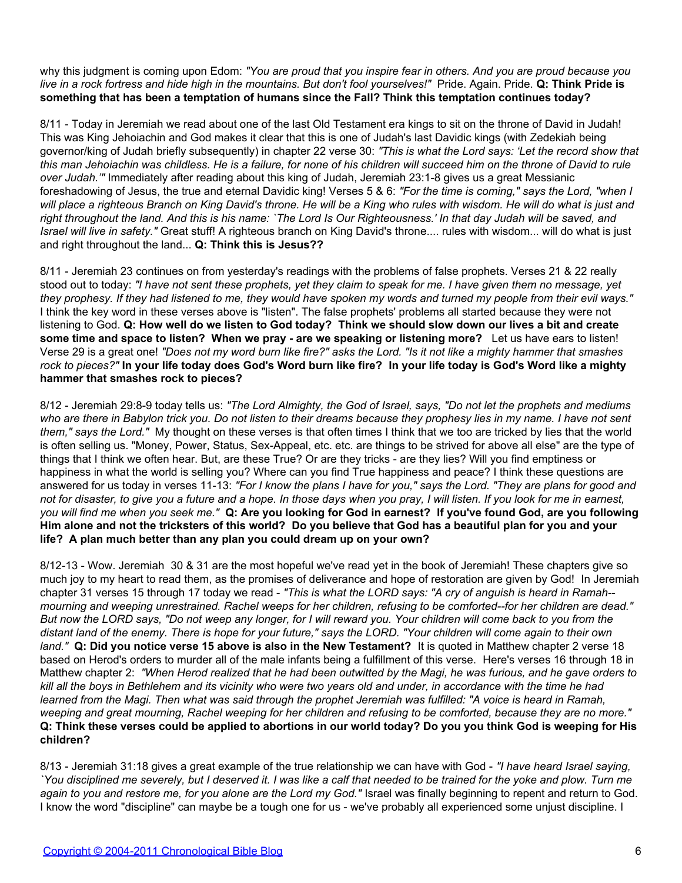why this judgment is coming upon Edom: *"You are proud that you inspire fear in others. And you are proud because you live in a rock fortress and hide high in the mountains. But don't fool yourselves!"* Pride. Again. Pride. **Q: Think Pride is something that has been a temptation of humans since the Fall? Think this temptation continues today?**

8/11 - Today in Jeremiah we read about one of the last Old Testament era kings to sit on the throne of David in Judah! This was King Jehoiachin and God makes it clear that this is one of Judah's last Davidic kings (with Zedekiah being governor/king of Judah briefly subsequently) in chapter 22 verse 30: *"This is what the Lord says: 'Let the record show that this man Jehoiachin was childless. He is a failure, for none of his children will succeed him on the throne of David to rule over Judah.'"* Immediately after reading about this king of Judah, Jeremiah 23:1-8 gives us a great Messianic foreshadowing of Jesus, the true and eternal Davidic king! Verses 5 & 6: *"For the time is coming," says the Lord, "when I will place a righteous Branch on King David's throne. He will be a King who rules with wisdom. He will do what is just and right throughout the land. And this is his name: `The Lord Is Our Righteousness.' In that day Judah will be saved, and Israel will live in safety."* Great stuff! A righteous branch on King David's throne.... rules with wisdom... will do what is just and right throughout the land... **Q: Think this is Jesus??**

8/11 - Jeremiah 23 continues on from yesterday's readings with the problems of false prophets. Verses 21 & 22 really stood out to today: *"I have not sent these prophets, yet they claim to speak for me. I have given them no message, yet they prophesy. If they had listened to me, they would have spoken my words and turned my people from their evil ways."* I think the key word in these verses above is "listen". The false prophets' problems all started because they were not listening to God. **Q: How well do we listen to God today? Think we should slow down our lives a bit and create some time and space to listen? When we pray - are we speaking or listening more?** Let us have ears to listen! Verse 29 is a great one! *"Does not my word burn like fire?" asks the Lord. "Is it not like a mighty hammer that smashes rock to pieces?"* **In your life today does God's Word burn like fire? In your life today is God's Word like a mighty hammer that smashes rock to pieces?**

8/12 - Jeremiah 29:8-9 today tells us: *"The Lord Almighty, the God of Israel, says, "Do not let the prophets and mediums who are there in Babylon trick you. Do not listen to their dreams because they prophesy lies in my name. I have not sent them," says the Lord."* My thought on these verses is that often times I think that we too are tricked by lies that the world is often selling us. "Money, Power, Status, Sex-Appeal, etc. etc. are things to be strived for above all else" are the type of things that I think we often hear. But, are these True? Or are they tricks - are they lies? Will you find emptiness or happiness in what the world is selling you? Where can you find True happiness and peace? I think these questions are answered for us today in verses 11-13: *"For I know the plans I have for you," says the Lord. "They are plans for good and not for disaster, to give you a future and a hope. In those days when you pray, I will listen. If you look for me in earnest, you will find me when you seek me."* **Q: Are you looking for God in earnest? If you've found God, are you following Him alone and not the tricksters of this world? Do you believe that God has a beautiful plan for you and your life? A plan much better than any plan you could dream up on your own?**

8/12-13 - Wow. Jeremiah 30 & 31 are the most hopeful we've read yet in the book of Jeremiah! These chapters give so much joy to my heart to read them, as the promises of deliverance and hope of restoration are given by God! In Jeremiah chapter 31 verses 15 through 17 today we read - *"This is what the LORD says: "A cry of anguish is heard in Ramah- mourning and weeping unrestrained. Rachel weeps for her children, refusing to be comforted--for her children are dead." But now the LORD says, "Do not weep any longer, for I will reward you. Your children will come back to you from the distant land of the enemy. There is hope for your future," says the LORD. "Your children will come again to their own land."* **Q: Did you notice verse 15 above is also in the New Testament?** It is quoted in Matthew chapter 2 verse 18 based on Herod's orders to murder all of the male infants being a fulfillment of this verse. Here's verses 16 through 18 in Matthew chapter 2: *"When Herod realized that he had been outwitted by the Magi, he was furious, and he gave orders to kill all the boys in Bethlehem and its vicinity who were two years old and under, in accordance with the time he had learned from the Magi. Then what was said through the prophet Jeremiah was fulfilled: "A voice is heard in Ramah, weeping and great mourning, Rachel weeping for her children and refusing to be comforted, because they are no more."* **Q: Think these verses could be applied to abortions in our world today? Do you you think God is weeping for His children?**

8/13 - Jeremiah 31:18 gives a great example of the true relationship we can have with God - *"I have heard Israel saying, `You disciplined me severely, but I deserved it. I was like a calf that needed to be trained for the yoke and plow. Turn me again to you and restore me, for you alone are the Lord my God."* Israel was finally beginning to repent and return to God. I know the word "discipline" can maybe be a tough one for us - we've probably all experienced some unjust discipline. I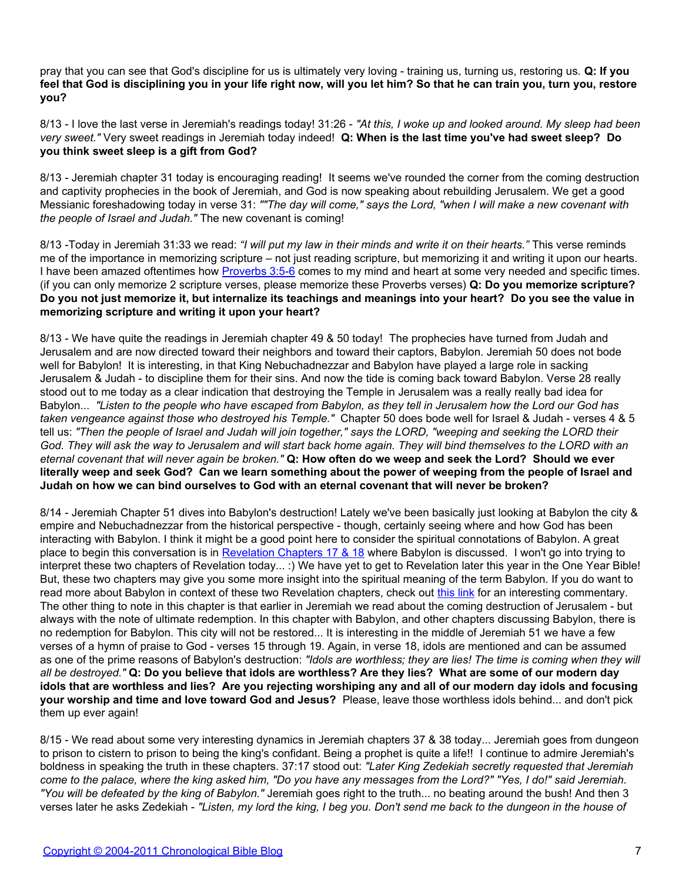pray that you can see that God's discipline for us is ultimately very loving - training us, turning us, restoring us. **Q: If you feel that God is disciplining you in your life right now, will you let him? So that he can train you, turn you, restore you?**

8/13 - I love the last verse in Jeremiah's readings today! 31:26 - *"At this, I woke up and looked around. My sleep had been very sweet."* Very sweet readings in Jeremiah today indeed! **Q: When is the last time you've had sweet sleep? Do you think sweet sleep is a gift from God?**

8/13 - Jeremiah chapter 31 today is encouraging reading! It seems we've rounded the corner from the coming destruction and captivity prophecies in the book of Jeremiah, and God is now speaking about rebuilding Jerusalem. We get a good Messianic foreshadowing today in verse 31: *""The day will come," says the Lord, "when I will make a new covenant with the people of Israel and Judah."* The new covenant is coming!

8/13 -Today in Jeremiah 31:33 we read: *"I will put my law in their minds and write it on their hearts."* This verse reminds me of the importance in memorizing scripture – not just reading scripture, but memorizing it and writing it upon our hearts. I have been amazed oftentimes how [Proverbs 3:5-6](http://www.biblegateway.com/passage/?search=Proverbs%203:5-6%20) comes to my mind and heart at some very needed and specific times. (if you can only memorize 2 scripture verses, please memorize these Proverbs verses) **Q: Do you memorize scripture? Do you not just memorize it, but internalize its teachings and meanings into your heart? Do you see the value in memorizing scripture and writing it upon your heart?**

8/13 - We have quite the readings in Jeremiah chapter 49 & 50 today! The prophecies have turned from Judah and Jerusalem and are now directed toward their neighbors and toward their captors, Babylon. Jeremiah 50 does not bode well for Babylon! It is interesting, in that King Nebuchadnezzar and Babylon have played a large role in sacking Jerusalem & Judah - to discipline them for their sins. And now the tide is coming back toward Babylon. Verse 28 really stood out to me today as a clear indication that destroying the Temple in Jerusalem was a really really bad idea for Babylon... *"Listen to the people who have escaped from Babylon, as they tell in Jerusalem how the Lord our God has taken vengeance against those who destroyed his Temple."* Chapter 50 does bode well for Israel & Judah - verses 4 & 5 tell us: *"Then the people of Israel and Judah will join together," says the LORD, "weeping and seeking the LORD their God. They will ask the way to Jerusalem and will start back home again. They will bind themselves to the LORD with an eternal covenant that will never again be broken."* **Q: How often do we weep and seek the Lord? Should we ever literally weep and seek God? Can we learn something about the power of weeping from the people of Israel and Judah on how we can bind ourselves to God with an eternal covenant that will never be broken?**

8/14 - Jeremiah Chapter 51 dives into Babylon's destruction! Lately we've been basically just looking at Babylon the city & empire and Nebuchadnezzar from the historical perspective - though, certainly seeing where and how God has been interacting with Babylon. I think it might be a good point here to consider the spiritual connotations of Babylon. A great place to begin this conversation is in [Revelation Chapters 17 & 18](http://www.biblegateway.com/passage/?search=revelation%2017;revelation%2018) where Babylon is discussed. I won't go into trying to interpret these two chapters of Revelation today... :) We have yet to get to Revelation later this year in the One Year Bible! But, these two chapters may give you some more insight into the spiritual meaning of the term Babylon. If you do want to read more about Babylon in context of these two Revelation chapters, check out [this link](http://www.bible.org/page.php?page_id=1770) for an interesting commentary. The other thing to note in this chapter is that earlier in Jeremiah we read about the coming destruction of Jerusalem - but always with the note of ultimate redemption. In this chapter with Babylon, and other chapters discussing Babylon, there is no redemption for Babylon. This city will not be restored... It is interesting in the middle of Jeremiah 51 we have a few verses of a hymn of praise to God - verses 15 through 19. Again, in verse 18, idols are mentioned and can be assumed as one of the prime reasons of Babylon's destruction: *"Idols are worthless; they are lies! The time is coming when they will all be destroyed."* **Q: Do you believe that idols are worthless? Are they lies? What are some of our modern day idols that are worthless and lies? Are you rejecting worshiping any and all of our modern day idols and focusing your worship and time and love toward God and Jesus?** Please, leave those worthless idols behind... and don't pick them up ever again!

8/15 - We read about some very interesting dynamics in Jeremiah chapters 37 & 38 today... Jeremiah goes from dungeon to prison to cistern to prison to being the king's confidant. Being a prophet is quite a life!! I continue to admire Jeremiah's boldness in speaking the truth in these chapters. 37:17 stood out: *"Later King Zedekiah secretly requested that Jeremiah come to the palace, where the king asked him, "Do you have any messages from the Lord?" "Yes, I do!" said Jeremiah. "You will be defeated by the king of Babylon."* Jeremiah goes right to the truth... no beating around the bush! And then 3 verses later he asks Zedekiah - *"Listen, my lord the king, I beg you. Don't send me back to the dungeon in the house of*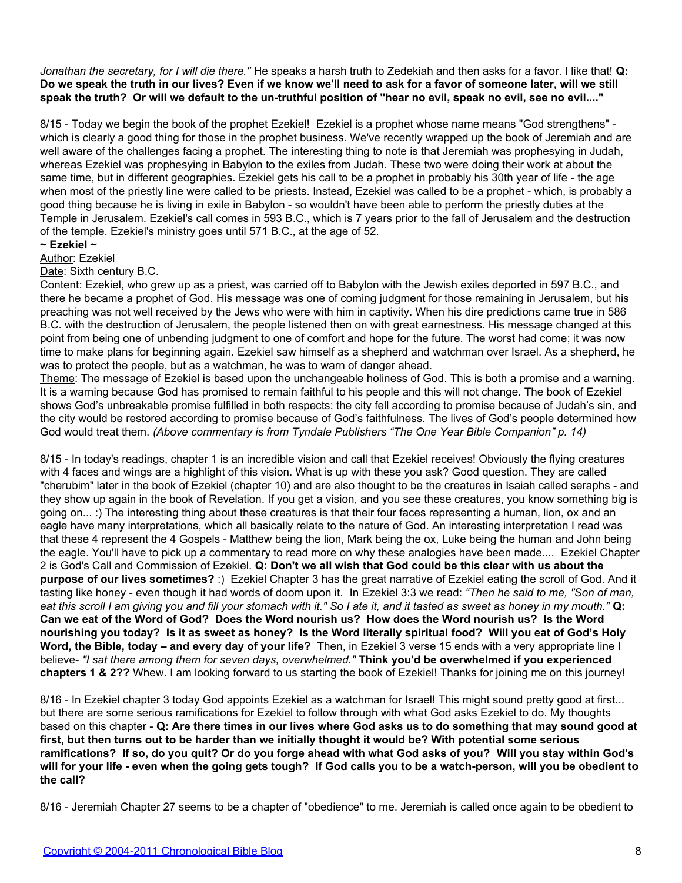*Jonathan the secretary, for I will die there."* He speaks a harsh truth to Zedekiah and then asks for a favor. I like that! **Q: Do we speak the truth in our lives? Even if we know we'll need to ask for a favor of someone later, will we still speak the truth? Or will we default to the un-truthful position of "hear no evil, speak no evil, see no evil...."**

8/15 - Today we begin the book of the prophet Ezekiel! Ezekiel is a prophet whose name means "God strengthens" which is clearly a good thing for those in the prophet business. We've recently wrapped up the book of Jeremiah and are well aware of the challenges facing a prophet. The interesting thing to note is that Jeremiah was prophesying in Judah, whereas Ezekiel was prophesying in Babylon to the exiles from Judah. These two were doing their work at about the same time, but in different geographies. Ezekiel gets his call to be a prophet in probably his 30th year of life - the age when most of the priestly line were called to be priests. Instead, Ezekiel was called to be a prophet - which, is probably a good thing because he is living in exile in Babylon - so wouldn't have been able to perform the priestly duties at the Temple in Jerusalem. Ezekiel's call comes in 593 B.C., which is 7 years prior to the fall of Jerusalem and the destruction of the temple. Ezekiel's ministry goes until 571 B.C., at the age of 52.

### **~ Ezekiel ~**

Author: Ezekiel

Date: Sixth century B.C.

Content: Ezekiel, who grew up as a priest, was carried off to Babylon with the Jewish exiles deported in 597 B.C., and there he became a prophet of God. His message was one of coming judgment for those remaining in Jerusalem, but his preaching was not well received by the Jews who were with him in captivity. When his dire predictions came true in 586 B.C. with the destruction of Jerusalem, the people listened then on with great earnestness. His message changed at this point from being one of unbending judgment to one of comfort and hope for the future. The worst had come; it was now time to make plans for beginning again. Ezekiel saw himself as a shepherd and watchman over Israel. As a shepherd, he was to protect the people, but as a watchman, he was to warn of danger ahead.

Theme: The message of Ezekiel is based upon the unchangeable holiness of God. This is both a promise and a warning. It is a warning because God has promised to remain faithful to his people and this will not change. The book of Ezekiel shows God's unbreakable promise fulfilled in both respects: the city fell according to promise because of Judah's sin, and the city would be restored according to promise because of God's faithfulness. The lives of God's people determined how God would treat them. *(Above commentary is from Tyndale Publishers "The One Year Bible Companion" p. 14)*

8/15 - In today's readings, chapter 1 is an incredible vision and call that Ezekiel receives! Obviously the flying creatures with 4 faces and wings are a highlight of this vision. What is up with these you ask? Good question. They are called "cherubim" later in the book of Ezekiel (chapter 10) and are also thought to be the creatures in Isaiah called seraphs - and they show up again in the book of Revelation. If you get a vision, and you see these creatures, you know something big is going on... :) The interesting thing about these creatures is that their four faces representing a human, lion, ox and an eagle have many interpretations, which all basically relate to the nature of God. An interesting interpretation I read was that these 4 represent the 4 Gospels - Matthew being the lion, Mark being the ox, Luke being the human and John being the eagle. You'll have to pick up a commentary to read more on why these analogies have been made.... Ezekiel Chapter 2 is God's Call and Commission of Ezekiel. **Q: Don't we all wish that God could be this clear with us about the purpose of our lives sometimes?** :) Ezekiel Chapter 3 has the great narrative of Ezekiel eating the scroll of God. And it tasting like honey - even though it had words of doom upon it. In Ezekiel 3:3 we read: *"Then he said to me, "Son of man, eat this scroll I am giving you and fill your stomach with it." So I ate it, and it tasted as sweet as honey in my mouth."* **Q: Can we eat of the Word of God? Does the Word nourish us? How does the Word nourish us? Is the Word nourishing you today? Is it as sweet as honey? Is the Word literally spiritual food? Will you eat of God's Holy Word, the Bible, today – and every day of your life?** Then, in Ezekiel 3 verse 15 ends with a very appropriate line I believe- *"I sat there among them for seven days, overwhelmed."* **Think you'd be overwhelmed if you experienced chapters 1 & 2??** Whew. I am looking forward to us starting the book of Ezekiel! Thanks for joining me on this journey!

8/16 - In Ezekiel chapter 3 today God appoints Ezekiel as a watchman for Israel! This might sound pretty good at first... but there are some serious ramifications for Ezekiel to follow through with what God asks Ezekiel to do. My thoughts based on this chapter - **Q: Are there times in our lives where God asks us to do something that may sound good at first, but then turns out to be harder than we initially thought it would be? With potential some serious ramifications? If so, do you quit? Or do you forge ahead with what God asks of you? Will you stay within God's will for your life - even when the going gets tough? If God calls you to be a watch-person, will you be obedient to the call?**

8/16 - Jeremiah Chapter 27 seems to be a chapter of "obedience" to me. Jeremiah is called once again to be obedient to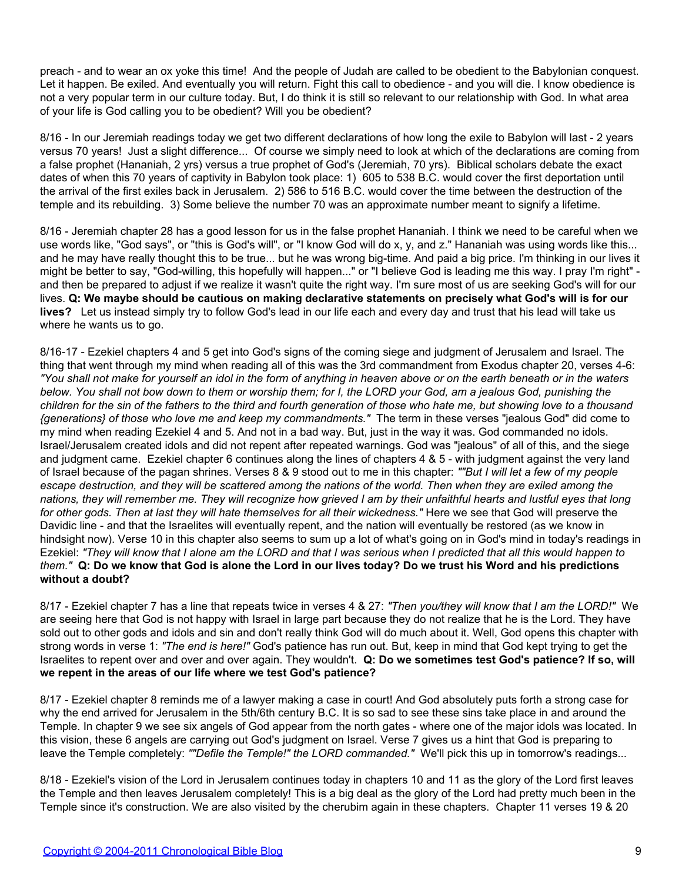preach - and to wear an ox yoke this time! And the people of Judah are called to be obedient to the Babylonian conquest. Let it happen. Be exiled. And eventually you will return. Fight this call to obedience - and you will die. I know obedience is not a very popular term in our culture today. But, I do think it is still so relevant to our relationship with God. In what area of your life is God calling you to be obedient? Will you be obedient?

8/16 - In our Jeremiah readings today we get two different declarations of how long the exile to Babylon will last - 2 years versus 70 years! Just a slight difference... Of course we simply need to look at which of the declarations are coming from a false prophet (Hananiah, 2 yrs) versus a true prophet of God's (Jeremiah, 70 yrs). Biblical scholars debate the exact dates of when this 70 years of captivity in Babylon took place: 1) 605 to 538 B.C. would cover the first deportation until the arrival of the first exiles back in Jerusalem. 2) 586 to 516 B.C. would cover the time between the destruction of the temple and its rebuilding. 3) Some believe the number 70 was an approximate number meant to signify a lifetime.

8/16 - Jeremiah chapter 28 has a good lesson for us in the false prophet Hananiah. I think we need to be careful when we use words like, "God says", or "this is God's will", or "I know God will do x, y, and z." Hananiah was using words like this... and he may have really thought this to be true... but he was wrong big-time. And paid a big price. I'm thinking in our lives it might be better to say, "God-willing, this hopefully will happen..." or "I believe God is leading me this way. I pray I'm right" and then be prepared to adjust if we realize it wasn't quite the right way. I'm sure most of us are seeking God's will for our lives. **Q: We maybe should be cautious on making declarative statements on precisely what God's will is for our lives?** Let us instead simply try to follow God's lead in our life each and every day and trust that his lead will take us where he wants us to go.

8/16-17 - Ezekiel chapters 4 and 5 get into God's signs of the coming siege and judgment of Jerusalem and Israel. The thing that went through my mind when reading all of this was the 3rd commandment from Exodus chapter 20, verses 4-6: *"You shall not make for yourself an idol in the form of anything in heaven above or on the earth beneath or in the waters below. You shall not bow down to them or worship them; for I, the LORD your God, am a jealous God, punishing the children for the sin of the fathers to the third and fourth generation of those who hate me, but showing love to a thousand {generations} of those who love me and keep my commandments."* The term in these verses "jealous God" did come to my mind when reading Ezekiel 4 and 5. And not in a bad way. But, just in the way it was. God commanded no idols. Israel/Jerusalem created idols and did not repent after repeated warnings. God was "jealous" of all of this, and the siege and judgment came. Ezekiel chapter 6 continues along the lines of chapters 4 & 5 - with judgment against the very land of Israel because of the pagan shrines. Verses 8 & 9 stood out to me in this chapter: *""But I will let a few of my people escape destruction, and they will be scattered among the nations of the world. Then when they are exiled among the nations, they will remember me. They will recognize how grieved I am by their unfaithful hearts and lustful eyes that long for other gods. Then at last they will hate themselves for all their wickedness."* Here we see that God will preserve the Davidic line - and that the Israelites will eventually repent, and the nation will eventually be restored (as we know in hindsight now). Verse 10 in this chapter also seems to sum up a lot of what's going on in God's mind in today's readings in Ezekiel: *"They will know that I alone am the LORD and that I was serious when I predicted that all this would happen to them."* **Q: Do we know that God is alone the Lord in our lives today? Do we trust his Word and his predictions without a doubt?**

8/17 - Ezekiel chapter 7 has a line that repeats twice in verses 4 & 27: *"Then you/they will know that I am the LORD!"* We are seeing here that God is not happy with Israel in large part because they do not realize that he is the Lord. They have sold out to other gods and idols and sin and don't really think God will do much about it. Well, God opens this chapter with strong words in verse 1: *"The end is here!"* God's patience has run out. But, keep in mind that God kept trying to get the Israelites to repent over and over and over again. They wouldn't. **Q: Do we sometimes test God's patience? If so, will we repent in the areas of our life where we test God's patience?**

8/17 - Ezekiel chapter 8 reminds me of a lawyer making a case in court! And God absolutely puts forth a strong case for why the end arrived for Jerusalem in the 5th/6th century B.C. It is so sad to see these sins take place in and around the Temple. In chapter 9 we see six angels of God appear from the north gates - where one of the major idols was located. In this vision, these 6 angels are carrying out God's judgment on Israel. Verse 7 gives us a hint that God is preparing to leave the Temple completely: *""Defile the Temple!" the LORD commanded."* We'll pick this up in tomorrow's readings...

8/18 - Ezekiel's vision of the Lord in Jerusalem continues today in chapters 10 and 11 as the glory of the Lord first leaves the Temple and then leaves Jerusalem completely! This is a big deal as the glory of the Lord had pretty much been in the Temple since it's construction. We are also visited by the cherubim again in these chapters. Chapter 11 verses 19 & 20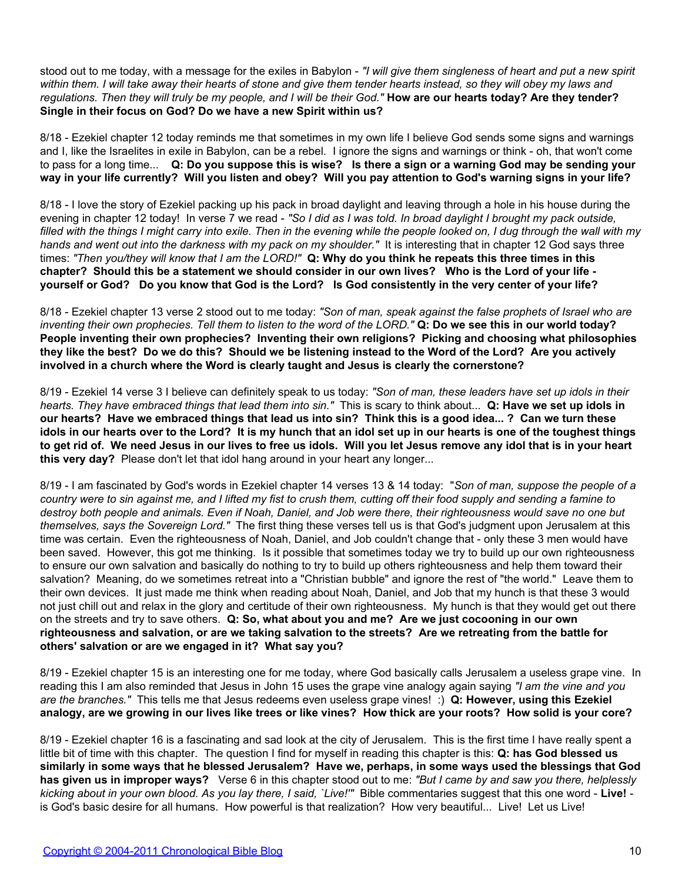stood out to me today, with a message for the exiles in Babylon - *"I will give them singleness of heart and put a new spirit within them. I will take away their hearts of stone and give them tender hearts instead, so they will obey my laws and regulations. Then they will truly be my people, and I will be their God."* **How are our hearts today? Are they tender? Single in their focus on God? Do we have a new Spirit within us?**

8/18 - Ezekiel chapter 12 today reminds me that sometimes in my own life I believe God sends some signs and warnings and I, like the Israelites in exile in Babylon, can be a rebel. I ignore the signs and warnings or think - oh, that won't come to pass for a long time... **Q: Do you suppose this is wise? Is there a sign or a warning God may be sending your way in your life currently? Will you listen and obey? Will you pay attention to God's warning signs in your life?**

8/18 - I love the story of Ezekiel packing up his pack in broad daylight and leaving through a hole in his house during the evening in chapter 12 today! In verse 7 we read - *"So I did as I was told. In broad daylight I brought my pack outside, filled with the things I might carry into exile. Then in the evening while the people looked on, I dug through the wall with my hands and went out into the darkness with my pack on my shoulder."* It is interesting that in chapter 12 God says three times: *"Then you/they will know that I am the LORD!"* **Q: Why do you think he repeats this three times in this chapter? Should this be a statement we should consider in our own lives? Who is the Lord of your life yourself or God? Do you know that God is the Lord? Is God consistently in the very center of your life?**

8/18 - Ezekiel chapter 13 verse 2 stood out to me today: *"Son of man, speak against the false prophets of Israel who are inventing their own prophecies. Tell them to listen to the word of the LORD."* **Q: Do we see this in our world today? People inventing their own prophecies? Inventing their own religions? Picking and choosing what philosophies they like the best? Do we do this? Should we be listening instead to the Word of the Lord? Are you actively involved in a church where the Word is clearly taught and Jesus is clearly the cornerstone?**

8/19 - Ezekiel 14 verse 3 I believe can definitely speak to us today: *"Son of man, these leaders have set up idols in their hearts. They have embraced things that lead them into sin."* This is scary to think about... **Q: Have we set up idols in our hearts? Have we embraced things that lead us into sin? Think this is a good idea... ? Can we turn these idols in our hearts over to the Lord? It is my hunch that an idol set up in our hearts is one of the toughest things to get rid of. We need Jesus in our lives to free us idols. Will you let Jesus remove any idol that is in your heart this very day?** Please don't let that idol hang around in your heart any longer...

8/19 - I am fascinated by God's words in Ezekiel chapter 14 verses 13 & 14 today: "*Son of man, suppose the people of a country were to sin against me, and I lifted my fist to crush them, cutting off their food supply and sending a famine to destroy both people and animals. Even if Noah, Daniel, and Job were there, their righteousness would save no one but themselves, says the Sovereign Lord."* The first thing these verses tell us is that God's judgment upon Jerusalem at this time was certain. Even the righteousness of Noah, Daniel, and Job couldn't change that - only these 3 men would have been saved. However, this got me thinking. Is it possible that sometimes today we try to build up our own righteousness to ensure our own salvation and basically do nothing to try to build up others righteousness and help them toward their salvation? Meaning, do we sometimes retreat into a "Christian bubble" and ignore the rest of "the world." Leave them to their own devices. It just made me think when reading about Noah, Daniel, and Job that my hunch is that these 3 would not just chill out and relax in the glory and certitude of their own righteousness. My hunch is that they would get out there on the streets and try to save others. **Q: So, what about you and me? Are we just cocooning in our own righteousness and salvation, or are we taking salvation to the streets? Are we retreating from the battle for others' salvation or are we engaged in it? What say you?**

8/19 - Ezekiel chapter 15 is an interesting one for me today, where God basically calls Jerusalem a useless grape vine. In reading this I am also reminded that Jesus in John 15 uses the grape vine analogy again saying *"I am the vine and you are the branches."* This tells me that Jesus redeems even useless grape vines! :) **Q: However, using this Ezekiel analogy, are we growing in our lives like trees or like vines? How thick are your roots? How solid is your core?**

8/19 - Ezekiel chapter 16 is a fascinating and sad look at the city of Jerusalem. This is the first time I have really spent a little bit of time with this chapter. The question I find for myself in reading this chapter is this: **Q: has God blessed us similarly in some ways that he blessed Jerusalem? Have we, perhaps, in some ways used the blessings that God has given us in improper ways?** Verse 6 in this chapter stood out to me: *"But I came by and saw you there, helplessly kicking about in your own blood. As you lay there, I said, `Live!'"* Bible commentaries suggest that this one word - **Live!** is God's basic desire for all humans. How powerful is that realization? How very beautiful... Live! Let us Live!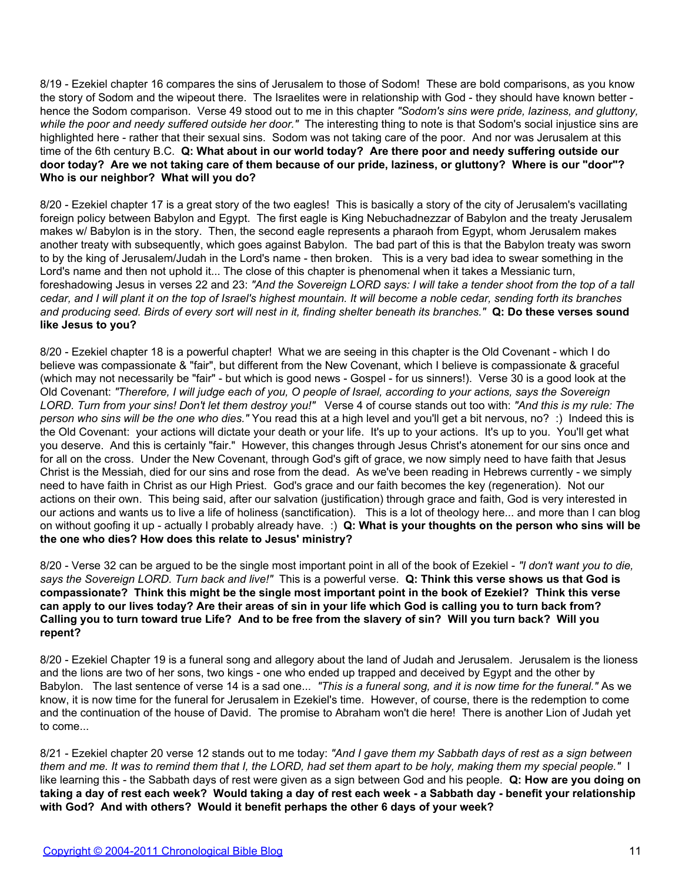8/19 - Ezekiel chapter 16 compares the sins of Jerusalem to those of Sodom! These are bold comparisons, as you know the story of Sodom and the wipeout there. The Israelites were in relationship with God - they should have known better hence the Sodom comparison. Verse 49 stood out to me in this chapter *"Sodom's sins were pride, laziness, and gluttony,* while the poor and needy suffered outside her door." The interesting thing to note is that Sodom's social injustice sins are highlighted here - rather that their sexual sins. Sodom was not taking care of the poor. And nor was Jerusalem at this time of the 6th century B.C. **Q: What about in our world today? Are there poor and needy suffering outside our door today? Are we not taking care of them because of our pride, laziness, or gluttony? Where is our "door"? Who is our neighbor? What will you do?**

8/20 - Ezekiel chapter 17 is a great story of the two eagles! This is basically a story of the city of Jerusalem's vacillating foreign policy between Babylon and Egypt. The first eagle is King Nebuchadnezzar of Babylon and the treaty Jerusalem makes w/ Babylon is in the story. Then, the second eagle represents a pharaoh from Egypt, whom Jerusalem makes another treaty with subsequently, which goes against Babylon. The bad part of this is that the Babylon treaty was sworn to by the king of Jerusalem/Judah in the Lord's name - then broken. This is a very bad idea to swear something in the Lord's name and then not uphold it... The close of this chapter is phenomenal when it takes a Messianic turn, foreshadowing Jesus in verses 22 and 23: *"And the Sovereign LORD says: I will take a tender shoot from the top of a tall cedar, and I will plant it on the top of Israel's highest mountain. It will become a noble cedar, sending forth its branches and producing seed. Birds of every sort will nest in it, finding shelter beneath its branches."* **Q: Do these verses sound like Jesus to you?**

8/20 - Ezekiel chapter 18 is a powerful chapter! What we are seeing in this chapter is the Old Covenant - which I do believe was compassionate & "fair", but different from the New Covenant, which I believe is compassionate & graceful (which may not necessarily be "fair" - but which is good news - Gospel - for us sinners!). Verse 30 is a good look at the Old Covenant: *"Therefore, I will judge each of you, O people of Israel, according to your actions, says the Sovereign LORD. Turn from your sins! Don't let them destroy you!"* Verse 4 of course stands out too with: *"And this is my rule: The person who sins will be the one who dies."* You read this at a high level and you'll get a bit nervous, no? :) Indeed this is the Old Covenant: your actions will dictate your death or your life. It's up to your actions. It's up to you. You'll get what you deserve. And this is certainly "fair." However, this changes through Jesus Christ's atonement for our sins once and for all on the cross. Under the New Covenant, through God's gift of grace, we now simply need to have faith that Jesus Christ is the Messiah, died for our sins and rose from the dead. As we've been reading in Hebrews currently - we simply need to have faith in Christ as our High Priest. God's grace and our faith becomes the key (regeneration). Not our actions on their own. This being said, after our salvation (justification) through grace and faith, God is very interested in our actions and wants us to live a life of holiness (sanctification). This is a lot of theology here... and more than I can blog on without goofing it up - actually I probably already have. :) **Q: What is your thoughts on the person who sins will be the one who dies? How does this relate to Jesus' ministry?**

8/20 - Verse 32 can be argued to be the single most important point in all of the book of Ezekiel - *"I don't want you to die, says the Sovereign LORD. Turn back and live!"* This is a powerful verse. **Q: Think this verse shows us that God is compassionate? Think this might be the single most important point in the book of Ezekiel? Think this verse can apply to our lives today? Are their areas of sin in your life which God is calling you to turn back from? Calling you to turn toward true Life? And to be free from the slavery of sin? Will you turn back? Will you repent?**

8/20 - Ezekiel Chapter 19 is a funeral song and allegory about the land of Judah and Jerusalem. Jerusalem is the lioness and the lions are two of her sons, two kings - one who ended up trapped and deceived by Egypt and the other by Babylon. The last sentence of verse 14 is a sad one... *"This is a funeral song, and it is now time for the funeral."* As we know, it is now time for the funeral for Jerusalem in Ezekiel's time. However, of course, there is the redemption to come and the continuation of the house of David. The promise to Abraham won't die here! There is another Lion of Judah yet to come...

8/21 - Ezekiel chapter 20 verse 12 stands out to me today: *"And I gave them my Sabbath days of rest as a sign between them and me. It was to remind them that I, the LORD, had set them apart to be holy, making them my special people."* I like learning this - the Sabbath days of rest were given as a sign between God and his people. **Q: How are you doing on taking a day of rest each week? Would taking a day of rest each week - a Sabbath day - benefit your relationship with God? And with others? Would it benefit perhaps the other 6 days of your week?**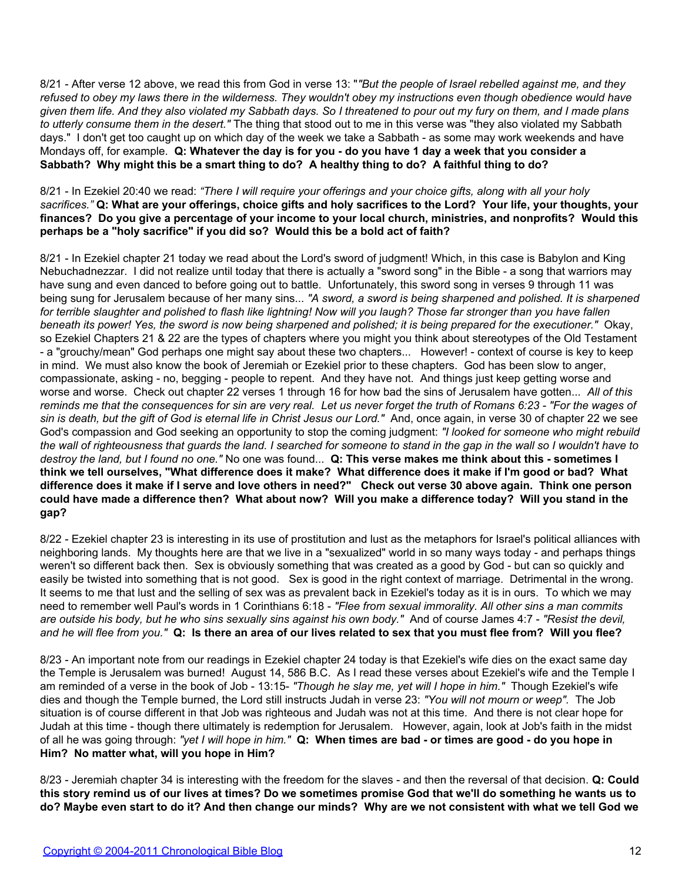8/21 - After verse 12 above, we read this from God in verse 13: "*"But the people of Israel rebelled against me, and they refused to obey my laws there in the wilderness. They wouldn't obey my instructions even though obedience would have given them life. And they also violated my Sabbath days. So I threatened to pour out my fury on them, and I made plans to utterly consume them in the desert."* The thing that stood out to me in this verse was "they also violated my Sabbath days." I don't get too caught up on which day of the week we take a Sabbath - as some may work weekends and have Mondays off, for example. **Q: Whatever the day is for you - do you have 1 day a week that you consider a Sabbath? Why might this be a smart thing to do? A healthy thing to do? A faithful thing to do?**

8/21 - In Ezekiel 20:40 we read: *"There I will require your offerings and your choice gifts, along with all your holy sacrifices."* **Q: What are your offerings, choice gifts and holy sacrifices to the Lord? Your life, your thoughts, your finances? Do you give a percentage of your income to your local church, ministries, and nonprofits? Would this perhaps be a "holy sacrifice" if you did so? Would this be a bold act of faith?**

8/21 - In Ezekiel chapter 21 today we read about the Lord's sword of judgment! Which, in this case is Babylon and King Nebuchadnezzar. I did not realize until today that there is actually a "sword song" in the Bible - a song that warriors may have sung and even danced to before going out to battle. Unfortunately, this sword song in verses 9 through 11 was being sung for Jerusalem because of her many sins... *"A sword, a sword is being sharpened and polished. It is sharpened for terrible slaughter and polished to flash like lightning! Now will you laugh? Those far stronger than you have fallen beneath its power! Yes, the sword is now being sharpened and polished; it is being prepared for the executioner."* Okay, so Ezekiel Chapters 21 & 22 are the types of chapters where you might you think about stereotypes of the Old Testament - a "grouchy/mean" God perhaps one might say about these two chapters... However! - context of course is key to keep in mind. We must also know the book of Jeremiah or Ezekiel prior to these chapters. God has been slow to anger, compassionate, asking - no, begging - people to repent. And they have not. And things just keep getting worse and worse and worse. Check out chapter 22 verses 1 through 16 for how bad the sins of Jerusalem have gotten... *All of this reminds me that the consequences for sin are very real. Let us never forget the truth of Romans 6:23 - "For the wages of sin is death, but the gift of God is eternal life in Christ Jesus our Lord."* And, once again, in verse 30 of chapter 22 we see God's compassion and God seeking an opportunity to stop the coming judgment: *"I looked for someone who might rebuild the wall of righteousness that guards the land. I searched for someone to stand in the gap in the wall so I wouldn't have to destroy the land, but I found no one."* No one was found... **Q: This verse makes me think about this - sometimes I think we tell ourselves, "What difference does it make? What difference does it make if I'm good or bad? What difference does it make if I serve and love others in need?" Check out verse 30 above again. Think one person could have made a difference then? What about now? Will you make a difference today? Will you stand in the gap?**

8/22 - Ezekiel chapter 23 is interesting in its use of prostitution and lust as the metaphors for Israel's political alliances with neighboring lands. My thoughts here are that we live in a "sexualized" world in so many ways today - and perhaps things weren't so different back then. Sex is obviously something that was created as a good by God - but can so quickly and easily be twisted into something that is not good. Sex is good in the right context of marriage. Detrimental in the wrong. It seems to me that lust and the selling of sex was as prevalent back in Ezekiel's today as it is in ours. To which we may need to remember well Paul's words in 1 Corinthians 6:18 - *"Flee from sexual immorality. All other sins a man commits are outside his body, but he who sins sexually sins against his own body."* And of course James 4:7 - *"Resist the devil, and he will flee from you."* **Q: Is there an area of our lives related to sex that you must flee from? Will you flee?**

8/23 - An important note from our readings in Ezekiel chapter 24 today is that Ezekiel's wife dies on the exact same day the Temple is Jerusalem was burned! August 14, 586 B.C. As I read these verses about Ezekiel's wife and the Temple I am reminded of a verse in the book of Job - 13:15- *"Though he slay me, yet will I hope in him."* Though Ezekiel's wife dies and though the Temple burned, the Lord still instructs Judah in verse 23: *"You will not mourn or weep".* The Job situation is of course different in that Job was righteous and Judah was not at this time. And there is not clear hope for Judah at this time - though there ultimately is redemption for Jerusalem. However, again, look at Job's faith in the midst of all he was going through: *"yet I will hope in him."* **Q: When times are bad - or times are good - do you hope in Him? No matter what, will you hope in Him?**

8/23 - Jeremiah chapter 34 is interesting with the freedom for the slaves - and then the reversal of that decision. **Q: Could this story remind us of our lives at times? Do we sometimes promise God that we'll do something he wants us to do? Maybe even start to do it? And then change our minds? Why are we not consistent with what we tell God we**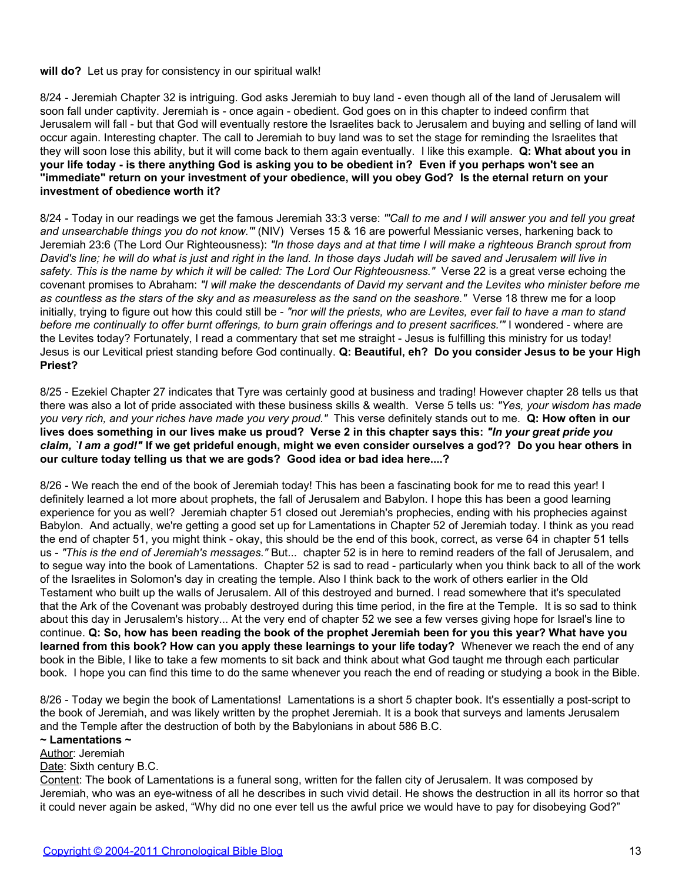#### **will do?** Let us pray for consistency in our spiritual walk!

8/24 - Jeremiah Chapter 32 is intriguing. God asks Jeremiah to buy land - even though all of the land of Jerusalem will soon fall under captivity. Jeremiah is - once again - obedient. God goes on in this chapter to indeed confirm that Jerusalem will fall - but that God will eventually restore the Israelites back to Jerusalem and buying and selling of land will occur again. Interesting chapter. The call to Jeremiah to buy land was to set the stage for reminding the Israelites that they will soon lose this ability, but it will come back to them again eventually. I like this example. **Q: What about you in your life today - is there anything God is asking you to be obedient in? Even if you perhaps won't see an "immediate" return on your investment of your obedience, will you obey God? Is the eternal return on your investment of obedience worth it?**

8/24 - Today in our readings we get the famous Jeremiah 33:3 verse: *"'Call to me and I will answer you and tell you great and unsearchable things you do not know.'"* (NIV) Verses 15 & 16 are powerful Messianic verses, harkening back to Jeremiah 23:6 (The Lord Our Righteousness): *"In those days and at that time I will make a righteous Branch sprout from David's line; he will do what is just and right in the land. In those days Judah will be saved and Jerusalem will live in safety. This is the name by which it will be called: The Lord Our Righteousness."* Verse 22 is a great verse echoing the covenant promises to Abraham: *"I will make the descendants of David my servant and the Levites who minister before me as countless as the stars of the sky and as measureless as the sand on the seashore."* Verse 18 threw me for a loop initially, trying to figure out how this could still be - "nor will the priests, who are Levites, ever fail to have a man to stand *before me continually to offer burnt offerings, to burn grain offerings and to present sacrifices.'"* I wondered - where are the Levites today? Fortunately, I read a commentary that set me straight - Jesus is fulfilling this ministry for us today! Jesus is our Levitical priest standing before God continually. **Q: Beautiful, eh? Do you consider Jesus to be your High Priest?**

8/25 - Ezekiel Chapter 27 indicates that Tyre was certainly good at business and trading! However chapter 28 tells us that there was also a lot of pride associated with these business skills & wealth. Verse 5 tells us: *"Yes, your wisdom has made you very rich, and your riches have made you very proud."* This verse definitely stands out to me. **Q: How often in our lives does something in our lives make us proud? Verse 2 in this chapter says this:** *"In your great pride you claim, `I am a god!"* **If we get prideful enough, might we even consider ourselves a god?? Do you hear others in our culture today telling us that we are gods? Good idea or bad idea here....?**

8/26 - We reach the end of the book of Jeremiah today! This has been a fascinating book for me to read this year! I definitely learned a lot more about prophets, the fall of Jerusalem and Babylon. I hope this has been a good learning experience for you as well? Jeremiah chapter 51 closed out Jeremiah's prophecies, ending with his prophecies against Babylon. And actually, we're getting a good set up for Lamentations in Chapter 52 of Jeremiah today. I think as you read the end of chapter 51, you might think - okay, this should be the end of this book, correct, as verse 64 in chapter 51 tells us - *"This is the end of Jeremiah's messages."* But... chapter 52 is in here to remind readers of the fall of Jerusalem, and to segue way into the book of Lamentations. Chapter 52 is sad to read - particularly when you think back to all of the work of the Israelites in Solomon's day in creating the temple. Also I think back to the work of others earlier in the Old Testament who built up the walls of Jerusalem. All of this destroyed and burned. I read somewhere that it's speculated that the Ark of the Covenant was probably destroyed during this time period, in the fire at the Temple. It is so sad to think about this day in Jerusalem's history... At the very end of chapter 52 we see a few verses giving hope for Israel's line to continue. **Q: So, how has been reading the book of the prophet Jeremiah been for you this year? What have you learned from this book? How can you apply these learnings to your life today?** Whenever we reach the end of any book in the Bible, I like to take a few moments to sit back and think about what God taught me through each particular book. I hope you can find this time to do the same whenever you reach the end of reading or studying a book in the Bible.

8/26 - Today we begin the book of Lamentations! Lamentations is a short 5 chapter book. It's essentially a post-script to the book of Jeremiah, and was likely written by the prophet Jeremiah. It is a book that surveys and laments Jerusalem and the Temple after the destruction of both by the Babylonians in about 586 B.C.

#### **~ Lamentations ~**

#### Author: Jeremiah

Date: Sixth century B.C.

Content: The book of Lamentations is a funeral song, written for the fallen city of Jerusalem. It was composed by Jeremiah, who was an eye-witness of all he describes in such vivid detail. He shows the destruction in all its horror so that it could never again be asked, "Why did no one ever tell us the awful price we would have to pay for disobeying God?"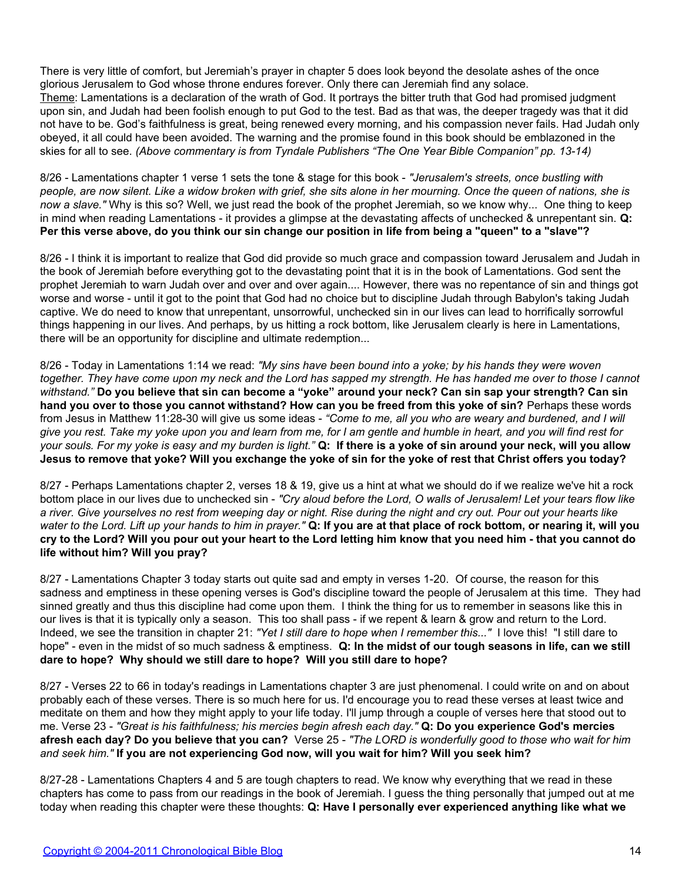There is very little of comfort, but Jeremiah's prayer in chapter 5 does look beyond the desolate ashes of the once glorious Jerusalem to God whose throne endures forever. Only there can Jeremiah find any solace. Theme: Lamentations is a declaration of the wrath of God. It portrays the bitter truth that God had promised judgment upon sin, and Judah had been foolish enough to put God to the test. Bad as that was, the deeper tragedy was that it did not have to be. God's faithfulness is great, being renewed every morning, and his compassion never fails. Had Judah only obeyed, it all could have been avoided. The warning and the promise found in this book should be emblazoned in the skies for all to see. *(Above commentary is from Tyndale Publishers "The One Year Bible Companion" pp. 13-14)*

8/26 - Lamentations chapter 1 verse 1 sets the tone & stage for this book - *"Jerusalem's streets, once bustling with people, are now silent. Like a widow broken with grief, she sits alone in her mourning. Once the queen of nations, she is now a slave."* Why is this so? Well, we just read the book of the prophet Jeremiah, so we know why... One thing to keep in mind when reading Lamentations - it provides a glimpse at the devastating affects of unchecked & unrepentant sin. **Q: Per this verse above, do you think our sin change our position in life from being a "queen" to a "slave"?**

8/26 - I think it is important to realize that God did provide so much grace and compassion toward Jerusalem and Judah in the book of Jeremiah before everything got to the devastating point that it is in the book of Lamentations. God sent the prophet Jeremiah to warn Judah over and over and over again.... However, there was no repentance of sin and things got worse and worse - until it got to the point that God had no choice but to discipline Judah through Babylon's taking Judah captive. We do need to know that unrepentant, unsorrowful, unchecked sin in our lives can lead to horrifically sorrowful things happening in our lives. And perhaps, by us hitting a rock bottom, like Jerusalem clearly is here in Lamentations, there will be an opportunity for discipline and ultimate redemption...

8/26 - Today in Lamentations 1:14 we read: *"My sins have been bound into a yoke; by his hands they were woven together. They have come upon my neck and the Lord has sapped my strength. He has handed me over to those I cannot withstand."* **Do you believe that sin can become a "yoke" around your neck? Can sin sap your strength? Can sin hand you over to those you cannot withstand? How can you be freed from this yoke of sin?** Perhaps these words from Jesus in Matthew 11:28-30 will give us some ideas - *"Come to me, all you who are weary and burdened, and I will give you rest. Take my yoke upon you and learn from me, for I am gentle and humble in heart, and you will find rest for your souls. For my yoke is easy and my burden is light."* **Q: If there is a yoke of sin around your neck, will you allow Jesus to remove that yoke? Will you exchange the yoke of sin for the yoke of rest that Christ offers you today?**

8/27 - Perhaps Lamentations chapter 2, verses 18 & 19, give us a hint at what we should do if we realize we've hit a rock bottom place in our lives due to unchecked sin - *"Cry aloud before the Lord, O walls of Jerusalem! Let your tears flow like a river. Give yourselves no rest from weeping day or night. Rise during the night and cry out. Pour out your hearts like water to the Lord. Lift up your hands to him in prayer."* **Q: If you are at that place of rock bottom, or nearing it, will you cry to the Lord? Will you pour out your heart to the Lord letting him know that you need him - that you cannot do life without him? Will you pray?**

8/27 - Lamentations Chapter 3 today starts out quite sad and empty in verses 1-20. Of course, the reason for this sadness and emptiness in these opening verses is God's discipline toward the people of Jerusalem at this time. They had sinned greatly and thus this discipline had come upon them. I think the thing for us to remember in seasons like this in our lives is that it is typically only a season. This too shall pass - if we repent & learn & grow and return to the Lord. Indeed, we see the transition in chapter 21: *"Yet I still dare to hope when I remember this..."* I love this! "I still dare to hope" - even in the midst of so much sadness & emptiness. **Q: In the midst of our tough seasons in life, can we still dare to hope? Why should we still dare to hope? Will you still dare to hope?**

8/27 - Verses 22 to 66 in today's readings in Lamentations chapter 3 are just phenomenal. I could write on and on about probably each of these verses. There is so much here for us. I'd encourage you to read these verses at least twice and meditate on them and how they might apply to your life today. I'll jump through a couple of verses here that stood out to me. Verse 23 - *"Great is his faithfulness; his mercies begin afresh each day."* **Q: Do you experience God's mercies afresh each day? Do you believe that you can?** Verse 25 - *"The LORD is wonderfully good to those who wait for him and seek him."* **If you are not experiencing God now, will you wait for him? Will you seek him?**

8/27-28 - Lamentations Chapters 4 and 5 are tough chapters to read. We know why everything that we read in these chapters has come to pass from our readings in the book of Jeremiah. I guess the thing personally that jumped out at me today when reading this chapter were these thoughts: **Q: Have I personally ever experienced anything like what we**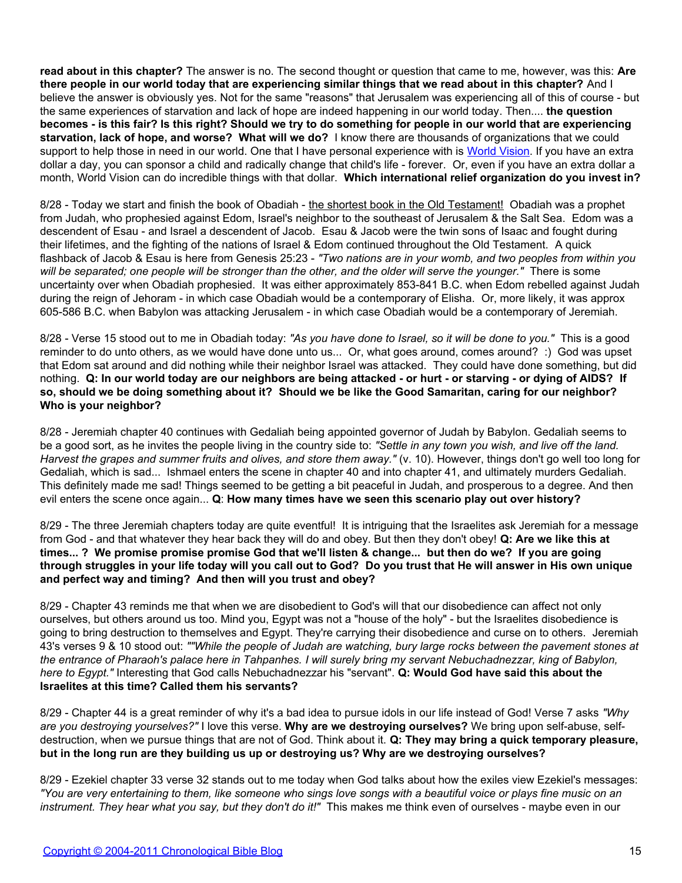**read about in this chapter?** The answer is no. The second thought or question that came to me, however, was this: **Are there people in our world today that are experiencing similar things that we read about in this chapter?** And I believe the answer is obviously yes. Not for the same "reasons" that Jerusalem was experiencing all of this of course - but the same experiences of starvation and lack of hope are indeed happening in our world today. Then.... **the question becomes - is this fair? Is this right? Should we try to do something for people in our world that are experiencing starvation, lack of hope, and worse? What will we do?** I know there are thousands of organizations that we could support to help those in need in our world. One that I have personal experience with is [World Vision.](http://www.worldvision.org/) If you have an extra dollar a day, you can sponsor a child and radically change that child's life - forever. Or, even if you have an extra dollar a month, World Vision can do incredible things with that dollar. **Which international relief organization do you invest in?**

8/28 - Today we start and finish the book of Obadiah - the shortest book in the Old Testament! Obadiah was a prophet from Judah, who prophesied against Edom, Israel's neighbor to the southeast of Jerusalem & the Salt Sea. Edom was a descendent of Esau - and Israel a descendent of Jacob. Esau & Jacob were the twin sons of Isaac and fought during their lifetimes, and the fighting of the nations of Israel & Edom continued throughout the Old Testament. A quick flashback of Jacob & Esau is here from Genesis 25:23 - *"Two nations are in your womb, and two peoples from within you will be separated; one people will be stronger than the other, and the older will serve the younger."* There is some uncertainty over when Obadiah prophesied. It was either approximately 853-841 B.C. when Edom rebelled against Judah during the reign of Jehoram - in which case Obadiah would be a contemporary of Elisha. Or, more likely, it was approx 605-586 B.C. when Babylon was attacking Jerusalem - in which case Obadiah would be a contemporary of Jeremiah.

8/28 - Verse 15 stood out to me in Obadiah today: *"As you have done to Israel, so it will be done to you."* This is a good reminder to do unto others, as we would have done unto us... Or, what goes around, comes around? :) God was upset that Edom sat around and did nothing while their neighbor Israel was attacked. They could have done something, but did nothing. **Q: In our world today are our neighbors are being attacked - or hurt - or starving - or dying of AIDS? If so, should we be doing something about it? Should we be like the Good Samaritan, caring for our neighbor? Who is your neighbor?**

8/28 - Jeremiah chapter 40 continues with Gedaliah being appointed governor of Judah by Babylon. Gedaliah seems to be a good sort, as he invites the people living in the country side to: *"Settle in any town you wish, and live off the land. Harvest the grapes and summer fruits and olives, and store them away."* (v. 10). However, things don't go well too long for Gedaliah, which is sad... Ishmael enters the scene in chapter 40 and into chapter 41, and ultimately murders Gedaliah. This definitely made me sad! Things seemed to be getting a bit peaceful in Judah, and prosperous to a degree. And then evil enters the scene once again... **Q**: **How many times have we seen this scenario play out over history?**

8/29 - The three Jeremiah chapters today are quite eventful! It is intriguing that the Israelites ask Jeremiah for a message from God - and that whatever they hear back they will do and obey. But then they don't obey! **Q: Are we like this at times... ? We promise promise promise God that we'll listen & change... but then do we? If you are going through struggles in your life today will you call out to God? Do you trust that He will answer in His own unique and perfect way and timing? And then will you trust and obey?**

8/29 - Chapter 43 reminds me that when we are disobedient to God's will that our disobedience can affect not only ourselves, but others around us too. Mind you, Egypt was not a "house of the holy" - but the Israelites disobedience is going to bring destruction to themselves and Egypt. They're carrying their disobedience and curse on to others. Jeremiah 43's verses 9 & 10 stood out: *""While the people of Judah are watching, bury large rocks between the pavement stones at the entrance of Pharaoh's palace here in Tahpanhes. I will surely bring my servant Nebuchadnezzar, king of Babylon, here to Egypt."* Interesting that God calls Nebuchadnezzar his "servant". **Q: Would God have said this about the Israelites at this time? Called them his servants?**

8/29 - Chapter 44 is a great reminder of why it's a bad idea to pursue idols in our life instead of God! Verse 7 asks *"Why are you destroying yourselves?"* I love this verse. **Why are we destroying ourselves?** We bring upon self-abuse, selfdestruction, when we pursue things that are not of God. Think about it. **Q: They may bring a quick temporary pleasure, but in the long run are they building us up or destroying us? Why are we destroying ourselves?**

8/29 - Ezekiel chapter 33 verse 32 stands out to me today when God talks about how the exiles view Ezekiel's messages: *"You are very entertaining to them, like someone who sings love songs with a beautiful voice or plays fine music on an instrument. They hear what you say, but they don't do it!"* This makes me think even of ourselves - maybe even in our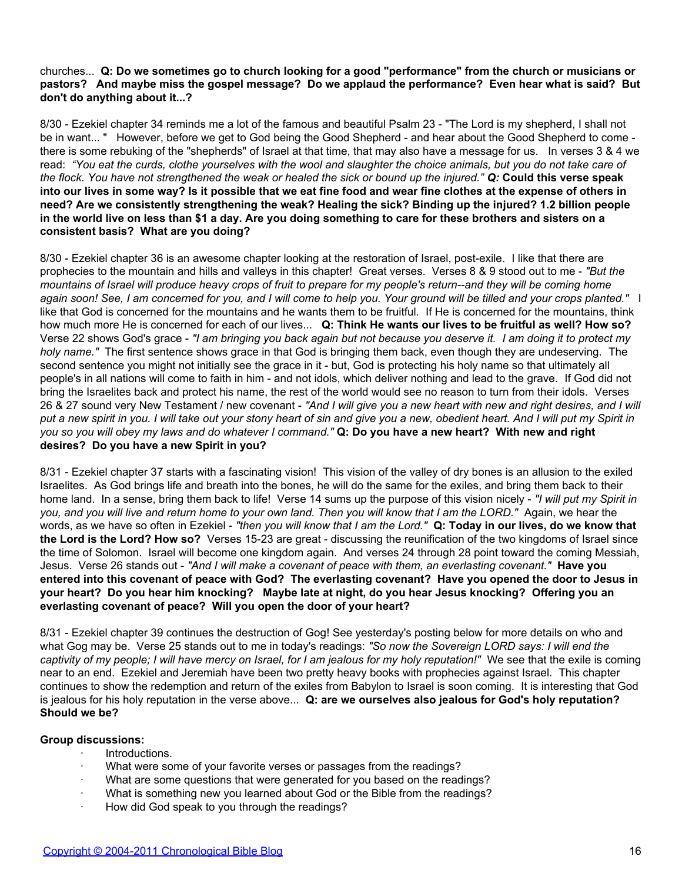### churches... **Q: Do we sometimes go to church looking for a good "performance" from the church or musicians or pastors? And maybe miss the gospel message? Do we applaud the performance? Even hear what is said? But don't do anything about it...?**

8/30 - Ezekiel chapter 34 reminds me a lot of the famous and beautiful Psalm 23 - "The Lord is my shepherd, I shall not be in want... " However, before we get to God being the Good Shepherd - and hear about the Good Shepherd to come there is some rebuking of the "shepherds" of Israel at that time, that may also have a message for us. In verses 3 & 4 we read: *"You eat the curds, clothe yourselves with the wool and slaughter the choice animals, but you do not take care of the flock. You have not strengthened the weak or healed the sick or bound up the injured." Q:* **Could this verse speak into our lives in some way? Is it possible that we eat fine food and wear fine clothes at the expense of others in need? Are we consistently strengthening the weak? Healing the sick? Binding up the injured? 1.2 billion people in the world live on less than \$1 a day. Are you doing something to care for these brothers and sisters on a consistent basis? What are you doing?**

8/30 - Ezekiel chapter 36 is an awesome chapter looking at the restoration of Israel, post-exile. I like that there are prophecies to the mountain and hills and valleys in this chapter! Great verses. Verses 8 & 9 stood out to me - *"But the mountains of Israel will produce heavy crops of fruit to prepare for my people's return--and they will be coming home again soon! See, I am concerned for you, and I will come to help you. Your ground will be tilled and your crops planted."* I like that God is concerned for the mountains and he wants them to be fruitful. If He is concerned for the mountains, think how much more He is concerned for each of our lives... **Q: Think He wants our lives to be fruitful as well? How so?** Verse 22 shows God's grace - *"I am bringing you back again but not because you deserve it. I am doing it to protect my holy name."* The first sentence shows grace in that God is bringing them back, even though they are undeserving. The second sentence you might not initially see the grace in it - but, God is protecting his holy name so that ultimately all people's in all nations will come to faith in him - and not idols, which deliver nothing and lead to the grave. If God did not bring the Israelites back and protect his name, the rest of the world would see no reason to turn from their idols. Verses 26 & 27 sound very New Testament / new covenant - *"And I will give you a new heart with new and right desires, and I will put a new spirit in you. I will take out your stony heart of sin and give you a new, obedient heart. And I will put my Spirit in you so you will obey my laws and do whatever I command."* **Q: Do you have a new heart? With new and right desires? Do you have a new Spirit in you?**

8/31 - Ezekiel chapter 37 starts with a fascinating vision! This vision of the valley of dry bones is an allusion to the exiled Israelites. As God brings life and breath into the bones, he will do the same for the exiles, and bring them back to their home land. In a sense, bring them back to life! Verse 14 sums up the purpose of this vision nicely - *"I will put my Spirit in you, and you will live and return home to your own land. Then you will know that I am the LORD."* Again, we hear the words, as we have so often in Ezekiel - *"then you will know that I am the Lord."* **Q: Today in our lives, do we know that the Lord is the Lord? How so?** Verses 15-23 are great - discussing the reunification of the two kingdoms of Israel since the time of Solomon. Israel will become one kingdom again. And verses 24 through 28 point toward the coming Messiah, Jesus. Verse 26 stands out - *"And I will make a covenant of peace with them, an everlasting covenant."* **Have you entered into this covenant of peace with God? The everlasting covenant? Have you opened the door to Jesus in your heart? Do you hear him knocking? Maybe late at night, do you hear Jesus knocking? Offering you an everlasting covenant of peace? Will you open the door of your heart?**

8/31 - Ezekiel chapter 39 continues the destruction of Gog! See yesterday's posting below for more details on who and what Gog may be. Verse 25 stands out to me in today's readings: *"So now the Sovereign LORD says: I will end the captivity of my people; I will have mercy on Israel, for I am jealous for my holy reputation!"* We see that the exile is coming near to an end. Ezekiel and Jeremiah have been two pretty heavy books with prophecies against Israel. This chapter continues to show the redemption and return of the exiles from Babylon to Israel is soon coming. It is interesting that God is jealous for his holy reputation in the verse above... **Q: are we ourselves also jealous for God's holy reputation? Should we be?**

# **Group discussions:**

- · Introductions.
- What were some of your favorite verses or passages from the readings?
- What are some questions that were generated for you based on the readings?
- What is something new you learned about God or the Bible from the readings?
- · How did God speak to you through the readings?